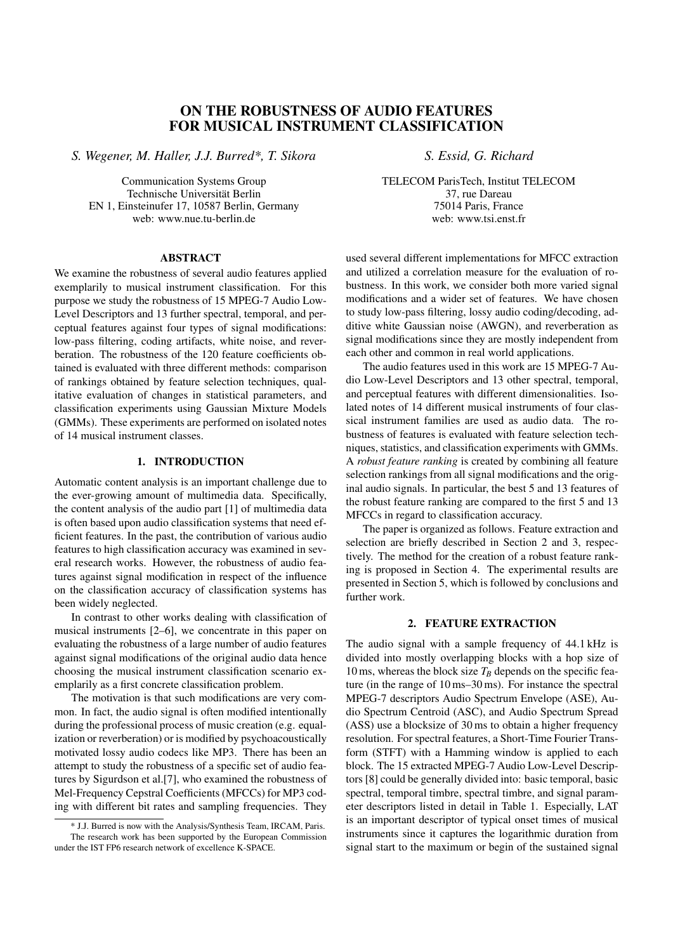# ON THE ROBUSTNESS OF AUDIO FEATURES FOR MUSICAL INSTRUMENT CLASSIFICATION

*S. Wegener, M. Haller, J.J. Burred\*, T. Sikora S. Essid, G. Richard*

Communication Systems Group Technische Universität Berlin EN 1, Einsteinufer 17, 10587 Berlin, Germany web: www.nue.tu-berlin.de

#### ABSTRACT

We examine the robustness of several audio features applied exemplarily to musical instrument classification. For this purpose we study the robustness of 15 MPEG-7 Audio Low-Level Descriptors and 13 further spectral, temporal, and perceptual features against four types of signal modifications: low-pass filtering, coding artifacts, white noise, and reverberation. The robustness of the 120 feature coefficients obtained is evaluated with three different methods: comparison of rankings obtained by feature selection techniques, qualitative evaluation of changes in statistical parameters, and classification experiments using Gaussian Mixture Models (GMMs). These experiments are performed on isolated notes of 14 musical instrument classes.

## 1. INTRODUCTION

Automatic content analysis is an important challenge due to the ever-growing amount of multimedia data. Specifically, the content analysis of the audio part [1] of multimedia data is often based upon audio classification systems that need efficient features. In the past, the contribution of various audio features to high classification accuracy was examined in several research works. However, the robustness of audio features against signal modification in respect of the influence on the classification accuracy of classification systems has been widely neglected.

In contrast to other works dealing with classification of musical instruments [2–6], we concentrate in this paper on evaluating the robustness of a large number of audio features against signal modifications of the original audio data hence choosing the musical instrument classification scenario exemplarily as a first concrete classification problem.

The motivation is that such modifications are very common. In fact, the audio signal is often modified intentionally during the professional process of music creation (e.g. equalization or reverberation) or is modified by psychoacoustically motivated lossy audio codecs like MP3. There has been an attempt to study the robustness of a specific set of audio features by Sigurdson et al.[7], who examined the robustness of Mel-Frequency Cepstral Coefficients (MFCCs) for MP3 coding with different bit rates and sampling frequencies. They

TELECOM ParisTech, Institut TELECOM 37, rue Dareau 75014 Paris, France web: www.tsi.enst.fr

used several different implementations for MFCC extraction and utilized a correlation measure for the evaluation of robustness. In this work, we consider both more varied signal modifications and a wider set of features. We have chosen to study low-pass filtering, lossy audio coding/decoding, additive white Gaussian noise (AWGN), and reverberation as signal modifications since they are mostly independent from each other and common in real world applications.

The audio features used in this work are 15 MPEG-7 Audio Low-Level Descriptors and 13 other spectral, temporal, and perceptual features with different dimensionalities. Isolated notes of 14 different musical instruments of four classical instrument families are used as audio data. The robustness of features is evaluated with feature selection techniques, statistics, and classification experiments with GMMs. A *robust feature ranking* is created by combining all feature selection rankings from all signal modifications and the original audio signals. In particular, the best 5 and 13 features of the robust feature ranking are compared to the first 5 and 13 MFCCs in regard to classification accuracy.

The paper is organized as follows. Feature extraction and selection are briefly described in Section 2 and 3, respectively. The method for the creation of a robust feature ranking is proposed in Section 4. The experimental results are presented in Section 5, which is followed by conclusions and further work.

### 2. FEATURE EXTRACTION

The audio signal with a sample frequency of 44.1 kHz is divided into mostly overlapping blocks with a hop size of 10 ms, whereas the block size  $T_B$  depends on the specific feature (in the range of 10 ms–30 ms). For instance the spectral MPEG-7 descriptors Audio Spectrum Envelope (ASE), Audio Spectrum Centroid (ASC), and Audio Spectrum Spread (ASS) use a blocksize of 30 ms to obtain a higher frequency resolution. For spectral features, a Short-Time Fourier Transform (STFT) with a Hamming window is applied to each block. The 15 extracted MPEG-7 Audio Low-Level Descriptors [8] could be generally divided into: basic temporal, basic spectral, temporal timbre, spectral timbre, and signal parameter descriptors listed in detail in Table 1. Especially, LAT is an important descriptor of typical onset times of musical instruments since it captures the logarithmic duration from signal start to the maximum or begin of the sustained signal

<sup>\*</sup> J.J. Burred is now with the Analysis/Synthesis Team, IRCAM, Paris. The research work has been supported by the European Commission under the IST FP6 research network of excellence K-SPACE.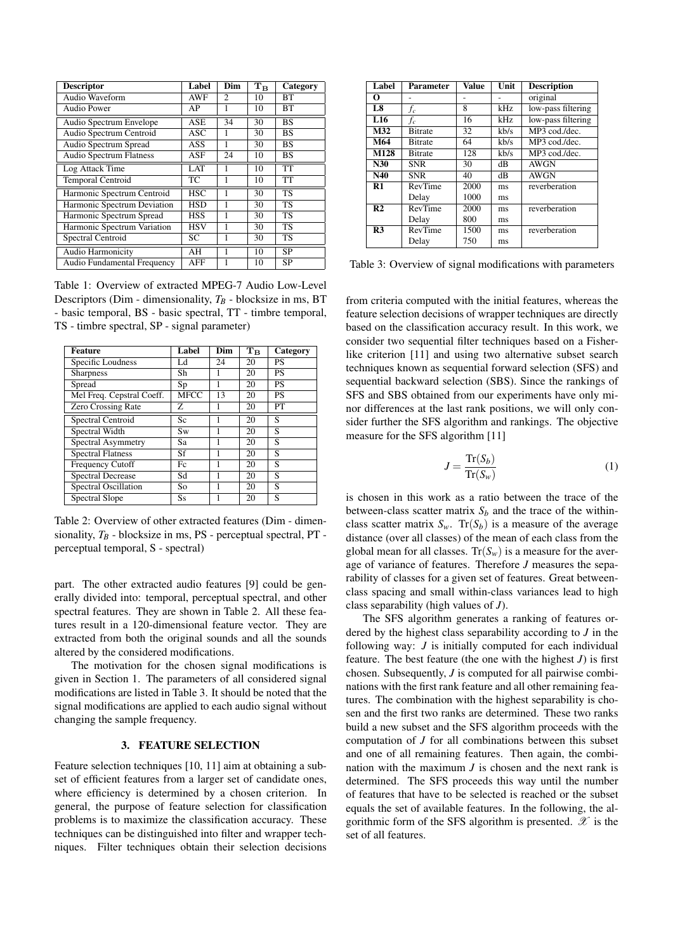| <b>Descriptor</b>              | Label      | Dim            | $\mathrm{T}_{\mathrm{B}}$ | Category  |
|--------------------------------|------------|----------------|---------------------------|-----------|
| Audio Waveform                 | <b>AWF</b> | $\mathfrak{D}$ | 10                        | BТ        |
| <b>Audio Power</b>             | AP         | 1              | 10                        | ВT        |
| Audio Spectrum Envelope        | ASE        | 34             | 30                        | <b>BS</b> |
| Audio Spectrum Centroid        | ASC        | 1              | 30                        | <b>BS</b> |
| Audio Spectrum Spread          | ASS        | 1              | 30                        | <b>BS</b> |
| <b>Audio Spectrum Flatness</b> | ASF        | 24             | 10                        | <b>BS</b> |
| Log Attack Time                | <b>LAT</b> | 1              | 10                        | <b>TT</b> |
| <b>Temporal Centroid</b>       | TC         | 1              | 10                        | TT        |
| Harmonic Spectrum Centroid     | <b>HSC</b> | 1              | 30                        | <b>TS</b> |
| Harmonic Spectrum Deviation    | HSD        |                | 30                        | TS        |
| Harmonic Spectrum Spread       | <b>HSS</b> | 1              | 30                        | <b>TS</b> |
| Harmonic Spectrum Variation    | <b>HSV</b> | 1              | 30                        | <b>TS</b> |
| Spectral Centroid              | SC         |                | 30                        | TS        |
| Audio Harmonicity              | AH         | 1              | 10                        | <b>SP</b> |
| Audio Fundamental Frequency    | AFF        | 1              | 10                        | <b>SP</b> |

Table 1: Overview of extracted MPEG-7 Audio Low-Level Descriptors (Dim - dimensionality,  $T_B$  - blocksize in ms, BT - basic temporal, BS - basic spectral, TT - timbre temporal, TS - timbre spectral, SP - signal parameter)

| <b>Feature</b>              | Label       | Dim | $\mathrm{T}_{\mathrm{B}}$ | Category  |
|-----------------------------|-------------|-----|---------------------------|-----------|
| Specific Loudness           | Ld          | 24  | 20                        | PS        |
| <b>Sharpness</b>            | Sh          |     | 20                        | <b>PS</b> |
| Spread                      | Sp          |     | 20                        | <b>PS</b> |
| Mel Freq. Cepstral Coeff.   | <b>MFCC</b> | 13  | 20                        | <b>PS</b> |
| <b>Zero Crossing Rate</b>   | Z           |     | 20                        | PT        |
| <b>Spectral Centroid</b>    | Sc          |     | 20                        | S         |
| Spectral Width              | Sw          |     | 20                        | S         |
| <b>Spectral Asymmetry</b>   | Sa          | 1   | 20                        | S         |
| <b>Spectral Flatness</b>    | Sf          |     | 20                        | S         |
| <b>Frequency Cutoff</b>     | Fc          | 1   | 20                        | S         |
| <b>Spectral Decrease</b>    | Sd          |     | 20                        | S         |
| <b>Spectral Oscillation</b> | So          |     | 20                        | S         |
| Spectral Slope              | <b>Ss</b>   |     | 20                        | S         |

Table 2: Overview of other extracted features (Dim - dimensionality, *T<sup>B</sup>* - blocksize in ms, PS - perceptual spectral, PT perceptual temporal, S - spectral)

part. The other extracted audio features [9] could be generally divided into: temporal, perceptual spectral, and other spectral features. They are shown in Table 2. All these features result in a 120-dimensional feature vector. They are extracted from both the original sounds and all the sounds altered by the considered modifications.

The motivation for the chosen signal modifications is given in Section 1. The parameters of all considered signal modifications are listed in Table 3. It should be noted that the signal modifications are applied to each audio signal without changing the sample frequency.

#### 3. FEATURE SELECTION

Feature selection techniques [10, 11] aim at obtaining a subset of efficient features from a larger set of candidate ones, where efficiency is determined by a chosen criterion. In general, the purpose of feature selection for classification problems is to maximize the classification accuracy. These techniques can be distinguished into filter and wrapper techniques. Filter techniques obtain their selection decisions

| Label           | Parameter      | <b>Value</b> | Unit | <b>Description</b> |
|-----------------|----------------|--------------|------|--------------------|
| 0               |                |              |      | original           |
| L <sub>8</sub>  | $f_c$          | 8            | kHz  | low-pass filtering |
| L <sub>16</sub> | fc             | 16           | kHz. | low-pass filtering |
| M32             | <b>Bitrate</b> | 32           | kb/s | MP3 cod./dec.      |
| M64             | <b>Bitrate</b> | 64           | kb/s | MP3 cod./dec.      |
| M128            | <b>Bitrate</b> | 128          | kb/s | MP3 cod./dec.      |
| N30             | <b>SNR</b>     | 30           | dВ   | <b>AWGN</b>        |
| N40             | <b>SNR</b>     | 40           | dВ   | <b>AWGN</b>        |
| R1              | RevTime        | 2000         | ms   | reverberation      |
|                 | Delay          | 1000         | ms   |                    |
| R <sub>2</sub>  | RevTime        | 2000         | ms   | reverberation      |
|                 | Delay          | 800          | ms   |                    |
| R <sub>3</sub>  | RevTime        | 1500         | ms   | reverberation      |
|                 | Delay          | 750          | ms   |                    |

Table 3: Overview of signal modifications with parameters

from criteria computed with the initial features, whereas the feature selection decisions of wrapper techniques are directly based on the classification accuracy result. In this work, we consider two sequential filter techniques based on a Fisherlike criterion [11] and using two alternative subset search techniques known as sequential forward selection (SFS) and sequential backward selection (SBS). Since the rankings of SFS and SBS obtained from our experiments have only minor differences at the last rank positions, we will only consider further the SFS algorithm and rankings. The objective measure for the SFS algorithm [11]

$$
J = \frac{\text{Tr}(S_b)}{\text{Tr}(S_w)}\tag{1}
$$

is chosen in this work as a ratio between the trace of the between-class scatter matrix  $S_b$  and the trace of the withinclass scatter matrix  $S_w$ . Tr( $S_b$ ) is a measure of the average distance (over all classes) of the mean of each class from the global mean for all classes.  $Tr(S_w)$  is a measure for the average of variance of features. Therefore *J* measures the separability of classes for a given set of features. Great betweenclass spacing and small within-class variances lead to high class separability (high values of *J*).

The SFS algorithm generates a ranking of features ordered by the highest class separability according to *J* in the following way: *J* is initially computed for each individual feature. The best feature (the one with the highest  $J$ ) is first chosen. Subsequently, *J* is computed for all pairwise combinations with the first rank feature and all other remaining features. The combination with the highest separability is chosen and the first two ranks are determined. These two ranks build a new subset and the SFS algorithm proceeds with the computation of *J* for all combinations between this subset and one of all remaining features. Then again, the combination with the maximum *J* is chosen and the next rank is determined. The SFS proceeds this way until the number of features that have to be selected is reached or the subset equals the set of available features. In the following, the algorithmic form of the SFS algorithm is presented.  $\mathscr X$  is the set of all features.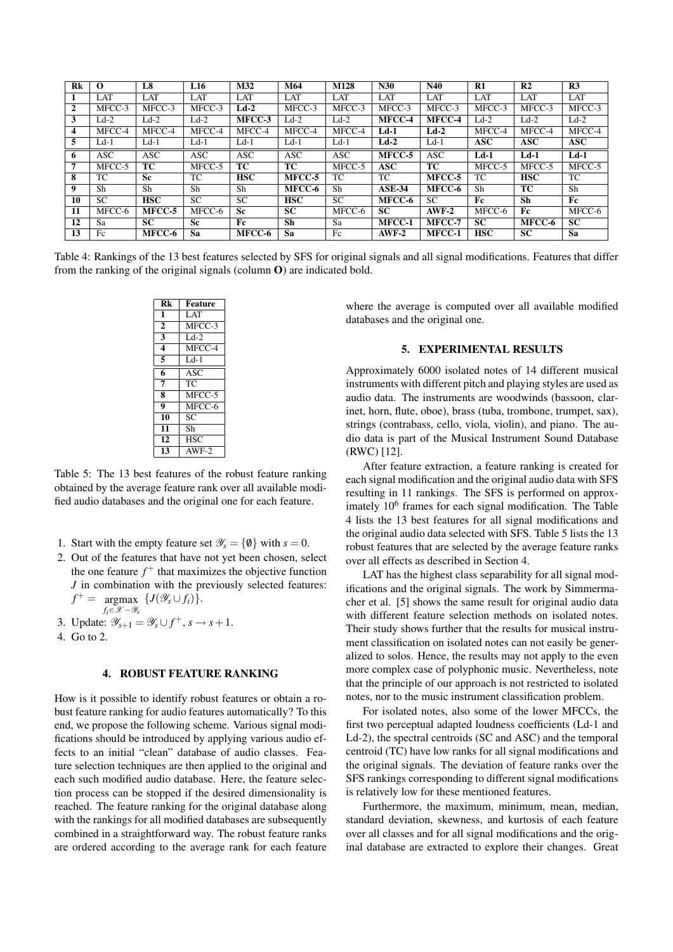| Rk | $\Omega$   | L8         | L16       | M32        | M64        | M128       | N30           | N40        | R1         | R <sub>2</sub> | R <sub>3</sub> |
|----|------------|------------|-----------|------------|------------|------------|---------------|------------|------------|----------------|----------------|
|    | <b>LAT</b> | LAT        | LAT       | <b>LAT</b> | <b>LAT</b> | LAT        | <b>LAT</b>    | <b>LAT</b> | LAT        | LAT            | <b>LAT</b>     |
| 2  | MFCC-3     | MFCC-3     | MFCC-3    | $Ld-2$     | MFCC-3     | MFCC-3     | MFCC-3        | MFCC-3     | MFCC-3     | MFCC-3         | MFCC-3         |
| 3  | $Ld-2$     | $Ld-2$     | $Ld-2$    | MFCC-3     | $Ld-2$     | $Ld-2$     | MFCC-4        | MFCC-4     | $Ld-2$     | $Ld-2$         | $Ld-2$         |
| 4  | MFCC-4     | MFCC-4     | MFCC-4    | MFCC-4     | MFCC-4     | MFCC-4     | $Ld-1$        | $Ld-2$     | MFCC-4     | MFCC-4         | MFCC-4         |
| 5  | $Ld-1$     | $Ld-1$     | $Ld-1$    | $Ld-1$     | $Ld-1$     | $Ld-1$     | $Ld-2$        | $Ld-1$     | <b>ASC</b> | <b>ASC</b>     | <b>ASC</b>     |
| 0  | ASC        | <b>ASC</b> | ASC       | <b>ASC</b> | <b>ASC</b> | <b>ASC</b> | MFCC-5        | <b>ASC</b> | $Ld-1$     | $Ld-1$         | $Ld-1$         |
|    | MFCC-5     | TC         | MFCC-5    | TC         | TC.        | MFCC-5     | <b>ASC</b>    | ТC         | MFCC-5     | MFCC-5         | MFCC-5         |
| 8  | TC         | <b>Sc</b>  | TC        | <b>HSC</b> | MFCC-5     | TC         | TC            | MFCC-5     | TC         | <b>HSC</b>     | TC             |
| 9  | Sh         | Sh         | Sh        | Sh         | MFCC-6     | Sh         | $ASE-34$      | MFCC-6     | Sh         | TC             | Sh             |
| 10 | <b>SC</b>  | <b>HSC</b> | <b>SC</b> | <b>SC</b>  | <b>HSC</b> | <b>SC</b>  | MFCC-6        | <b>SC</b>  | Fc         | Sh             | Fc             |
| 11 | MFCC-6     | MFCC-5     | MFCC-6    | <b>Sc</b>  | <b>SC</b>  | MFCC-6     | <b>SC</b>     | $AWF-2$    | MFCC-6     | Fc             | MFCC-6         |
| 12 | Sa         | <b>SC</b>  | <b>Sc</b> | Fc         | <b>Sh</b>  | Sa         | <b>MFCC-1</b> | MFCC-7     | <b>SC</b>  | MFCC-6         | <b>SC</b>      |
| 13 | Fc         | MFCC-6     | Sa        | MFCC-6     | Sa         | Fc         | $AWF-2$       | MFCC-1     | <b>HSC</b> | SC             | Sa             |

Table 4: Rankings of the 13 best features selected by SFS for original signals and all signal modifications. Features that differ from the ranking of the original signals (column O) are indicated bold.

| Rk                      | <b>Feature</b> |
|-------------------------|----------------|
| 1                       | LAT            |
| $\overline{2}$          | $MFCC-3$       |
| $\overline{3}$          | $Ld-2$         |
| 4                       | $MFCC-4$       |
| 5                       | $Ld-1$         |
| 6                       | ASC            |
| $\overline{7}$          | ТĈ             |
| 8                       | MFCC-5         |
| $\overline{\mathbf{Q}}$ | $MFCC-6$       |
| 10                      | SC             |
| 11                      | Sh             |
| 12                      | HSC            |
| 13                      | $AWF-2$        |

Table 5: The 13 best features of the robust feature ranking obtained by the average feature rank over all available modified audio databases and the original one for each feature.

- 1. Start with the empty feature set  $\mathcal{Y}_s = \{ \emptyset \}$  with  $s = 0$ .
- 2. Out of the features that have not yet been chosen, select the one feature  $f^+$  that maximizes the objective function *J* in combination with the previously selected features:  $f^+ = \text{argmax} \ \{J(\mathscr{Y}_s \cup f_i)\}.$ *fi*∈X −Y*<sup>s</sup>*
- 3. Update:  $\mathscr{Y}_{s+1} = \mathscr{Y}_s \cup f^+, s \to s+1$ .
- 4. Go to 2.

## 4. ROBUST FEATURE RANKING

How is it possible to identify robust features or obtain a robust feature ranking for audio features automatically? To this end, we propose the following scheme. Various signal modifications should be introduced by applying various audio effects to an initial "clean" database of audio classes. Feature selection techniques are then applied to the original and each such modified audio database. Here, the feature selection process can be stopped if the desired dimensionality is reached. The feature ranking for the original database along with the rankings for all modified databases are subsequently combined in a straightforward way. The robust feature ranks are ordered according to the average rank for each feature

where the average is computed over all available modified databases and the original one.

#### 5. EXPERIMENTAL RESULTS

Approximately 6000 isolated notes of 14 different musical instruments with different pitch and playing styles are used as audio data. The instruments are woodwinds (bassoon, clarinet, horn, flute, oboe), brass (tuba, trombone, trumpet, sax), strings (contrabass, cello, viola, violin), and piano. The audio data is part of the Musical Instrument Sound Database (RWC) [12].

After feature extraction, a feature ranking is created for each signal modification and the original audio data with SFS resulting in 11 rankings. The SFS is performed on approximately 10<sup>6</sup> frames for each signal modification. The Table 4 lists the 13 best features for all signal modifications and the original audio data selected with SFS. Table 5 lists the 13 robust features that are selected by the average feature ranks over all effects as described in Section 4.

LAT has the highest class separability for all signal modifications and the original signals. The work by Simmermacher et al. [5] shows the same result for original audio data with different feature selection methods on isolated notes. Their study shows further that the results for musical instrument classification on isolated notes can not easily be generalized to solos. Hence, the results may not apply to the even more complex case of polyphonic music. Nevertheless, note that the principle of our approach is not restricted to isolated notes, nor to the music instrument classification problem.

For isolated notes, also some of the lower MFCCs, the first two perceptual adapted loudness coefficients (Ld-1 and Ld-2), the spectral centroids (SC and ASC) and the temporal centroid (TC) have low ranks for all signal modifications and the original signals. The deviation of feature ranks over the SFS rankings corresponding to different signal modifications is relatively low for these mentioned features.

Furthermore, the maximum, minimum, mean, median, standard deviation, skewness, and kurtosis of each feature over all classes and for all signal modifications and the original database are extracted to explore their changes. Great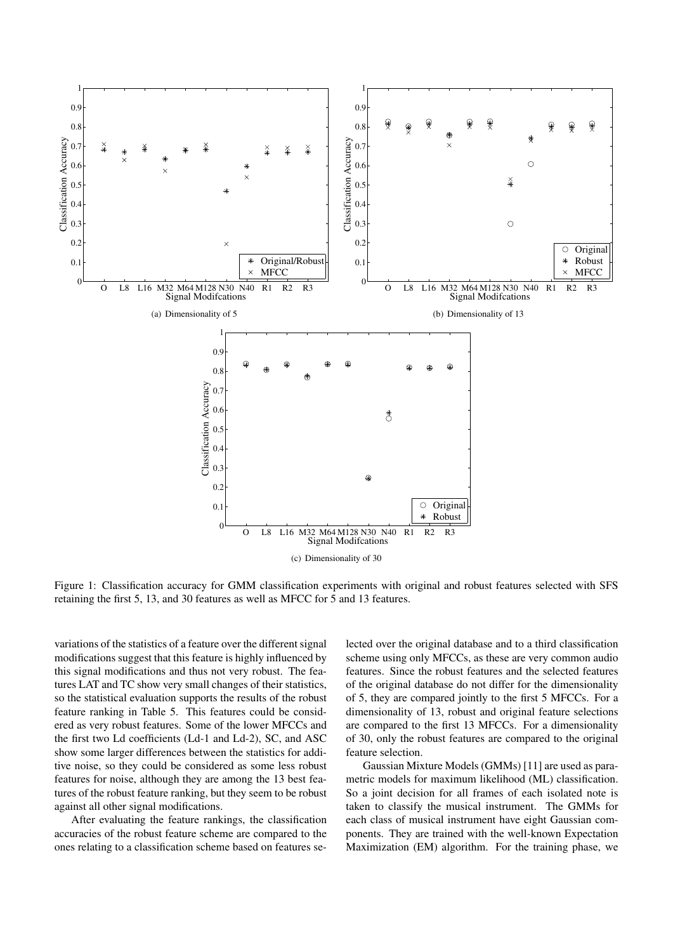

Figure 1: Classification accuracy for GMM classification experiments with original and robust features selected with SFS retaining the first 5, 13, and 30 features as well as MFCC for 5 and 13 features.

variations of the statistics of a feature over the different signal modifications suggest that this feature is highly influenced by this signal modifications and thus not very robust. The features LAT and TC show very small changes of their statistics, so the statistical evaluation supports the results of the robust feature ranking in Table 5. This features could be considered as very robust features. Some of the lower MFCCs and the first two Ld coefficients (Ld-1 and Ld-2), SC, and ASC show some larger differences between the statistics for additive noise, so they could be considered as some less robust features for noise, although they are among the 13 best features of the robust feature ranking, but they seem to be robust against all other signal modifications.

After evaluating the feature rankings, the classification accuracies of the robust feature scheme are compared to the ones relating to a classification scheme based on features selected over the original database and to a third classification scheme using only MFCCs, as these are very common audio features. Since the robust features and the selected features of the original database do not differ for the dimensionality of 5, they are compared jointly to the first 5 MFCCs. For a dimensionality of 13, robust and original feature selections are compared to the first 13 MFCCs. For a dimensionality of 30, only the robust features are compared to the original feature selection.

Gaussian Mixture Models (GMMs) [11] are used as parametric models for maximum likelihood (ML) classification. So a joint decision for all frames of each isolated note is taken to classify the musical instrument. The GMMs for each class of musical instrument have eight Gaussian components. They are trained with the well-known Expectation Maximization (EM) algorithm. For the training phase, we